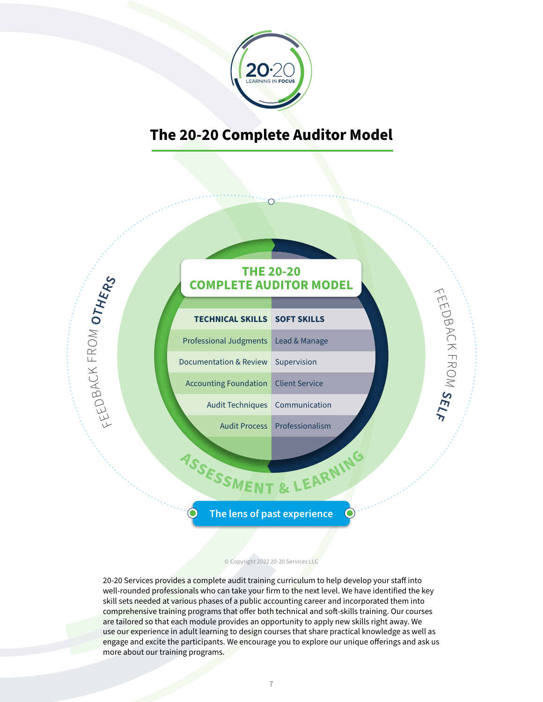

## **The 20-20 Complete Auditor Model**

## **THE 20-20 COMPLETE AUDITOR MODEL**

 $\bigcirc$ D<br>P  $\bigcap$  $\asymp$ न<br>स्र O  $\leq$ 

**SELF**

| <b>TECHNICAL SKILLS SOFT SKILLS</b>         |                               |
|---------------------------------------------|-------------------------------|
| Professional Judgments   Lead & Manage      |                               |
| Documentation & Review Supervision          |                               |
| <b>Accounting Foundation</b> Client Service |                               |
| Audit Techniques Communication              |                               |
|                                             | Audit Process Professionalism |

FEED

**OTHERS**

BAC  $\leq$  $\sqcup$  $\propto$ O M

# **<sup>A</sup>SSESSMEN<sup>T</sup> & <sup>L</sup>EARNIN<sup>G</sup>**

## **The lens of past experience**

 $\bigcirc$ 

#### © Copyright 2022 20-20 Services LLC

20-20 Services provides a complete audit training curriculum to help develop your staff into well-rounded professionals who can take your firm to the next level. We have identified the key skill sets needed at various phases of a public accounting career and incorporated them into comprehensive training programs that offer both technical and soft-skills training. Our courses are tailored so that each module provides an opportunity to apply new skills right away. We use our experience in adult learning to design courses that share practical knowledge as well as engage and excite the participants. We encourage you to explore our unique offerings and ask us more about our training programs.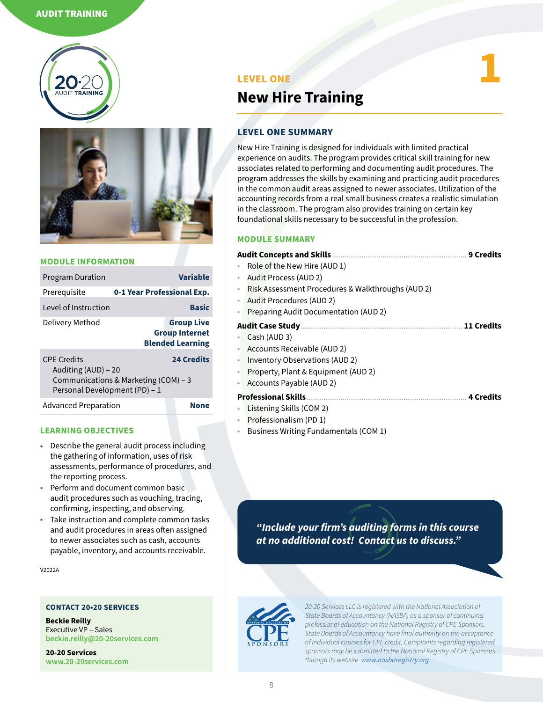#### AUDIT TRAINING





#### **MODULE INFORMATION**

| <b>Program Duration</b>                                                                                                                 |                            | Variable                                                              |
|-----------------------------------------------------------------------------------------------------------------------------------------|----------------------------|-----------------------------------------------------------------------|
| Prerequisite                                                                                                                            | 0-1 Year Professional Exp. |                                                                       |
| Level of Instruction                                                                                                                    |                            | <b>Basic</b>                                                          |
| Delivery Method                                                                                                                         |                            | <b>Group Live</b><br><b>Group Internet</b><br><b>Blended Learning</b> |
| <b>CPF Credits</b><br><b>24 Credits</b><br>Auditing (AUD) - 20<br>Communications & Marketing (COM) – 3<br>Personal Development (PD) - 1 |                            |                                                                       |
| <b>Advanced Preparation</b>                                                                                                             |                            | Non                                                                   |

#### **LEARNING OBJECTIVES**

- ◉ Describe the general audit process including the gathering of information, uses of risk assessments, performance of procedures, and the reporting process.
- Perform and document common basic audit procedures such as vouching, tracing, confirming, inspecting, and observing.
- ◉ Take instruction and complete common tasks and audit procedures in areas often assigned to newer associates such as cash, accounts payable, inventory, and accounts receivable.

V2022A

#### **CONTACT 20•20 SERVICES**

**Beckie Reilly** Executive VP – Sales **[beckie.reilly@20-20services.com](mailto:beckie.reilly%4020-20services.com?subject=)**

**20-20 Services [www.20-20services.com](http://www.20-20services.com)**

#### **LEVEL ONE**

## **New Hire Training**

#### **LEVEL ONE SUMMARY**

New Hire Training is designed for individuals with limited practical experience on audits. The program provides critical skill training for new associates related to performing and documenting audit procedures. The program addresses the skills by examining and practicing audit procedures in the common audit areas assigned to newer associates. Utilization of the accounting records from a real small business creates a realistic simulation in the classroom. The program also provides training on certain key foundational skills necessary to be successful in the profession.

**1**

#### **MODULE SUMMARY**

|           | <b>Audit Concepts and Skills</b>                  | <b>9 Credits</b>  |
|-----------|---------------------------------------------------|-------------------|
|           | Role of the New Hire (AUD 1)                      |                   |
| $\bullet$ | <b>Audit Process (AUD 2)</b>                      |                   |
| ۰         | Risk Assessment Procedures & Walkthroughs (AUD 2) |                   |
| ۰         | Audit Procedures (AUD 2)                          |                   |
| ۰         | Preparing Audit Documentation (AUD 2)             |                   |
|           |                                                   | <b>11 Credits</b> |
|           | Cash (AUD 3)                                      |                   |
|           | Accounts Receivable (AUD 2)                       |                   |
| ۰         | Inventory Observations (AUD 2)                    |                   |
| ۰         | Property, Plant & Equipment (AUD 2)               |                   |
| ۰         | Accounts Payable (AUD 2)                          |                   |
|           | <b>Professional Skills</b>                        |                   |
|           | Listening Skills (COM 2)                          |                   |
|           | Professionalism (PD 1)                            |                   |
|           | Business Writing Fundamentals (COM 1)             |                   |
|           |                                                   |                   |

*"Include your firm's auditing forms in this course at no additional cost! Contact us to discuss."*

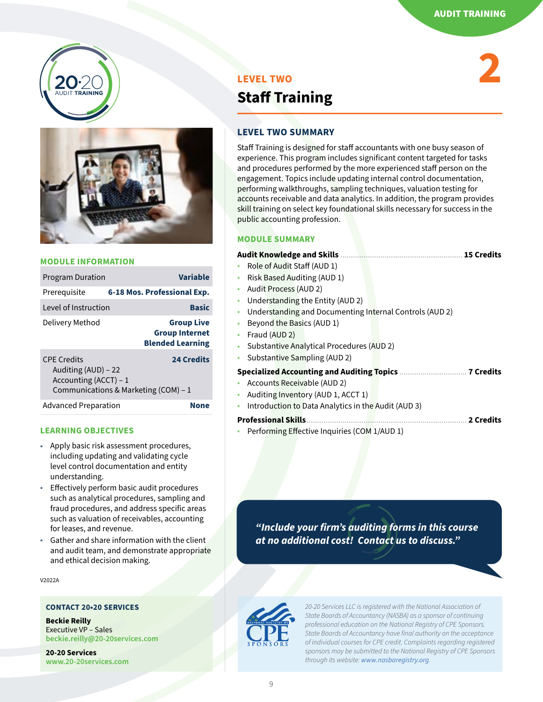**2**





#### **MODULE INFORMATION**

| <b>Program Duration</b>                                             | Variable                                                              |
|---------------------------------------------------------------------|-----------------------------------------------------------------------|
| Prereguisite                                                        | 6-18 Mos. Professional Exp.                                           |
| Level of Instruction                                                | <b>Basic</b>                                                          |
| Delivery Method                                                     | <b>Group Live</b><br><b>Group Internet</b><br><b>Blended Learning</b> |
| <b>CPF Credits</b><br>Auditing (AUD) – 22<br>Accounting (ACCT) $-1$ | <b>24 Credits</b><br>Communications & Marketing (COM) – 1             |
| <b>Advanced Preparation</b>                                         | None                                                                  |

#### **LEARNING OBJECTIVES**

- ◉ Apply basic risk assessment procedures, including updating and validating cycle level control documentation and entity understanding.
- ◉ Effectively perform basic audit procedures such as analytical procedures, sampling and fraud procedures, and address specific areas such as valuation of receivables, accounting for leases, and revenue.
- Gather and share information with the client and audit team, and demonstrate appropriate and ethical decision making.

V2022A

#### **CONTACT 20•20 SERVICES**

**Beckie Reilly** Executive VP – Sales **[beckie.reilly@20-20services.com](mailto:beckie.reilly%4020-20services.com?subject=)**

**20-20 Services [www.20-20services.com](http://www.20-20services.com)**

## **LEVEL TWO Staff Training**

#### **LEVEL TWO SUMMARY**

Staff Training is designed for staff accountants with one busy season of experience. This program includes significant content targeted for tasks and procedures performed by the more experienced staff person on the engagement. Topics include updating internal control documentation, performing walkthroughs, sampling techniques, valuation testing for accounts receivable and data analytics. In addition, the program provides skill training on select key foundational skills necessary for success in the public accounting profession.

#### **MODULE SUMMARY**

#### **Audit Knowledge and Skills** .......................................................... **15 Credits**

- ◉ Role of Audit Staff (AUD 1)
- Risk Based Auditing (AUD 1)
- ◉ Audit Process (AUD 2)
- Understanding the Entity (AUD 2)
- Understanding and Documenting Internal Controls (AUD 2)
- Beyond the Basics (AUD 1)
- Fraud (AUD 2)
- Substantive Analytical Procedures (AUD 2)
- Substantive Sampling (AUD 2)

|--|--|--|--|--|--|

- ◉ Accounts Receivable (AUD 2)
- Auditing Inventory (AUD 1, ACCT 1)
- Introduction to Data Analytics in the Audit (AUD 3)
- **Professional Skills**............................................................................ **2 Credits**
- Performing Effective Inquiries (COM 1/AUD 1)

*"Include your firm's auditing forms in this course at no additional cost! Contact us to discuss."*



*20-20 Services LLC is registered with the National Association of State Boards of Accountancy (NASBA) as a sponsor of continuing professional education on the National Registry of CPE Sponsors. State Boards of Accountancy have final authority on the acceptance of individual courses for CPE credit. Complaints regarding registered sponsors may be submitted to the National Registry of CPE Sponsors through its website: [www.nasbaregistry.org](http://www.nasbaregistry.org).*

9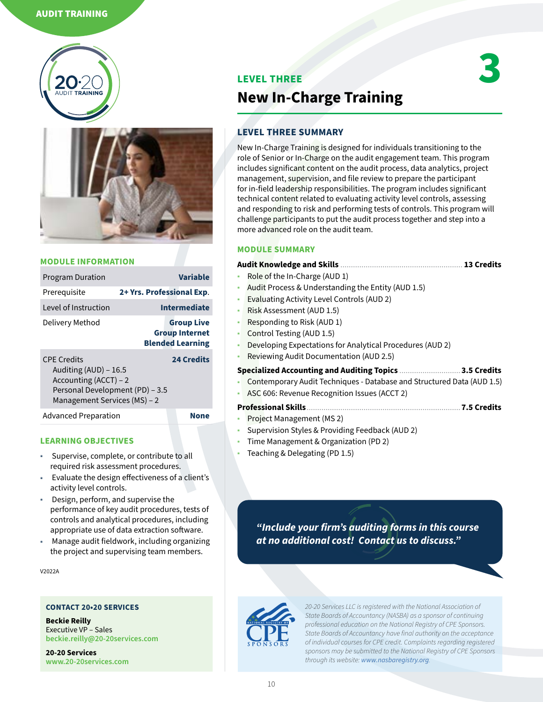#### AUDIT TRAINING





#### **MODULE INFORMATION**

| <b>Program Duration</b>                                                                                                                 |                           | <b>Variable</b>                                                       |
|-----------------------------------------------------------------------------------------------------------------------------------------|---------------------------|-----------------------------------------------------------------------|
| Prerequisite                                                                                                                            | 2+ Yrs. Professional Exp. |                                                                       |
| Level of Instruction                                                                                                                    |                           | <b>Intermediate</b>                                                   |
| Delivery Method                                                                                                                         |                           | <b>Group Live</b><br><b>Group Internet</b><br><b>Blended Learning</b> |
| <b>CPF Credits</b><br>Auditing (AUD) - 16.5<br>Accounting (ACCT) - 2<br>Personal Development (PD) - 3.5<br>Management Services (MS) - 2 |                           | <b>24 Credits</b>                                                     |
| <b>Advanced Preparation</b>                                                                                                             |                           | None                                                                  |

#### **LEARNING OBJECTIVES**

- Supervise, complete, or contribute to all required risk assessment procedures.
- Evaluate the design effectiveness of a client's activity level controls.
- Design, perform, and supervise the performance of key audit procedures, tests of controls and analytical procedures, including appropriate use of data extraction software.
- ◉ Manage audit fieldwork, including organizing the project and supervising team members.

V2022A

#### **CONTACT 20•20 SERVICES**

**Beckie Reilly** Executive VP – Sales **[beckie.reilly@20-20services.com](mailto:beckie.reilly%4020-20services.com?subject=)**

**20-20 Services [www.20-20services.com](http://www.20-20services.com)**

#### **LEVEL THREE**



## **New In-Charge Training**

#### **LEVEL THREE SUMMARY**

New In-Charge Training is designed for individuals transitioning to the role of Senior or In-Charge on the audit engagement team. This program includes significant content on the audit process, data analytics, project management, supervision, and file review to prepare the participant for in-field leadership responsibilities. The program includes significant technical content related to evaluating activity level controls, assessing and responding to risk and performing tests of controls. This program will challenge participants to put the audit process together and step into a more advanced role on the audit team.

#### **MODULE SUMMARY**

|           | <b>Audit Knowledge and Skills </b><br><b>13 Credits</b>                |
|-----------|------------------------------------------------------------------------|
|           | • Role of the In-Charge (AUD 1)                                        |
| ۰         | Audit Process & Understanding the Entity (AUD 1.5)                     |
| ۰         | Evaluating Activity Level Controls (AUD 2)                             |
| $\bullet$ | Risk Assessment (AUD 1.5)                                              |
| ۰         | Responding to Risk (AUD 1)                                             |
| ۰         | Control Testing (AUD 1.5)                                              |
| ۰         | Developing Expectations for Analytical Procedures (AUD 2)              |
|           | Reviewing Audit Documentation (AUD 2.5)                                |
|           | <b>Specialized Accounting and Auditing Topics.</b><br>3.5 Credits      |
|           | Contemporary Audit Techniques - Database and Structured Data (AUD 1.5) |
| ۰         | ASC 606: Revenue Recognition Issues (ACCT 2)                           |
|           | <b>Professional Skills</b><br>7.5 Credits                              |

- Project Management (MS 2)
- Supervision Styles & Providing Feedback (AUD 2)
- Time Management & Organization (PD 2)
- Teaching & Delegating (PD 1.5)

*"Include your firm's auditing forms in this course at no additional cost! Contact us to discuss."*

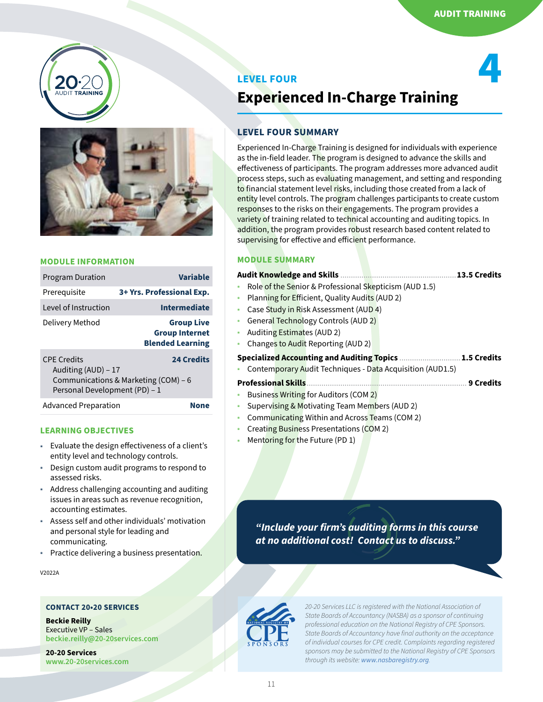**4**





#### **MODULE INFORMATION**

| <b>Program Duration</b>                                                    | <b>Variable</b>                                                       |
|----------------------------------------------------------------------------|-----------------------------------------------------------------------|
| Prerequisite                                                               | 3+ Yrs. Professional Exp.                                             |
| Level of Instruction                                                       | <b>Intermediate</b>                                                   |
| Delivery Method                                                            | <b>Group Live</b><br><b>Group Internet</b><br><b>Blended Learning</b> |
| <b>CPF Credits</b><br>Auditing (AUD) - 17<br>Personal Development (PD) - 1 | <b>24 Credits</b><br>Communications & Marketing (COM) – 6             |

Advanced Preparation **None**

#### **LEARNING OBJECTIVES**

- ◉ Evaluate the design effectiveness of a client's entity level and technology controls.
- Design custom audit programs to respond to assessed risks.
- ◉ Address challenging accounting and auditing issues in areas such as revenue recognition, accounting estimates.
- Assess self and other individuals' motivation and personal style for leading and communicating.
- ◉ Practice delivering a business presentation.

V2022A

#### **CONTACT 20•20 SERVICES**

**Beckie Reilly** Executive VP – Sales **[beckie.reilly@20-20services.com](mailto:beckie.reilly%4020-20services.com?subject=)**

**20-20 Services [www.20-20services.com](http://www.20-20services.com)**

## **LEVEL FOUR Experienced In-Charge Training**

#### **LEVEL FOUR SUMMARY**

Experienced In-Charge Training is designed for individuals with experience as the in-field leader. The program is designed to advance the skills and effectiveness of participants. The program addresses more advanced audit process steps, such as evaluating management, and setting and responding to financial statement level risks, including those created from a lack of entity level controls. The program challenges participants to create custom responses to the risks on their engagements. The program provides a variety of training related to technical accounting and auditing topics. In addition, the program provides robust research based content related to supervising for effective and efficient performance.

#### **MODULE SUMMARY**

|           |                                                           | 13.5 Credits     |
|-----------|-----------------------------------------------------------|------------------|
|           | Role of the Senior & Professional Skepticism (AUD 1.5)    |                  |
| $\bullet$ | Planning for Efficient, Quality Audits (AUD 2)            |                  |
| $\bullet$ | Case Study in Risk Assessment (AUD 4)                     |                  |
| $\bullet$ | General Technology Controls (AUD 2)                       |                  |
| $\bullet$ | Auditing Estimates (AUD 2)                                |                  |
| ۰         | Changes to Audit Reporting (AUD 2)                        |                  |
|           | <b>Specialized Accounting and Auditing Topics.</b>        | .1.5 Credits     |
|           | Contemporary Audit Techniques - Data Acquisition (AUD1.5) |                  |
|           | <b>Professional Skills</b>                                | <b>9 Credits</b> |
|           | Business Writing for Auditors (COM 2)                     |                  |
|           | Supervising & Motivating Team Members (AUD 2)             |                  |
| $\bullet$ | Communicating Within and Across Teams (COM 2)             |                  |
| $\bullet$ | Creating Business Presentations (COM 2)                   |                  |
| $\bullet$ | Mentoring for the Future (PD 1)                           |                  |
|           |                                                           |                  |

*"Include your firm's auditing forms in this course at no additional cost! Contact us to discuss."*

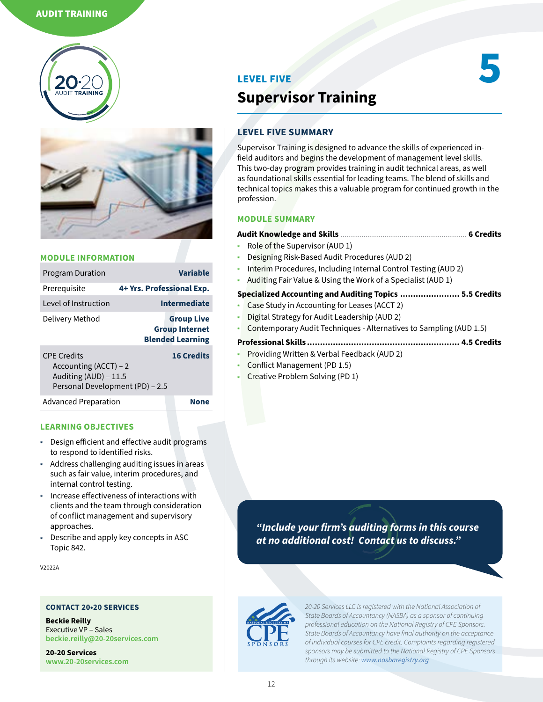



| <b>Program Duration</b>                                                                                   |                           | <b>Variable</b>                                                       |
|-----------------------------------------------------------------------------------------------------------|---------------------------|-----------------------------------------------------------------------|
| Prerequisite                                                                                              | 4+ Yrs. Professional Exp. |                                                                       |
| Level of Instruction                                                                                      |                           | <b>Intermediate</b>                                                   |
| Delivery Method                                                                                           |                           | <b>Group Live</b><br><b>Group Internet</b><br><b>Blended Learning</b> |
| <b>CPF Credits</b><br>Accounting $(ACCT) - 2$<br>Auditing (AUD) - 11.5<br>Personal Development (PD) - 2.5 |                           | <b>16 Credits</b>                                                     |
| <b>Advanced Preparation</b>                                                                               |                           | Non                                                                   |

#### **LEARNING OBJECTIVES**

- ◉ Design efficient and effective audit programs to respond to identified risks.
- ◉ Address challenging auditing issues in areas such as fair value, interim procedures, and internal control testing.
- Increase effectiveness of interactions with clients and the team through consideration of conflict management and supervisory approaches.
- Describe and apply key concepts in ASC Topic 842.

V2022A

#### **CONTACT 20•20 SERVICES**

**Beckie Reilly** Executive VP – Sales **[beckie.reilly@20-20services.com](mailto:beckie.reilly%4020-20services.com?subject=)**

**20-20 Services [www.20-20services.com](http://www.20-20services.com)**

#### **LEVEL FIVE**

## **Supervisor Training**

#### **LEVEL FIVE SUMMARY**

Supervisor Training is designed to advance the skills of experienced infield auditors and begins the development of management level skills. This two-day program provides training in audit technical areas, as well as foundational skills essential for leading teams. The blend of skills and technical topics makes this a valuable program for continued growth in the profession.

**5**

#### **MODULE SUMMARY**

| . 6 Credits                                                        |
|--------------------------------------------------------------------|
| • Role of the Supervisor (AUD 1)                                   |
| • Designing Risk-Based Audit Procedures (AUD 2)                    |
| Laterine Due and uses the dual property of Cantral Testing (AUD 3) |

- Interim Procedures, Including Internal Control Testing (AUD 2)
- Auditing Fair Value & Using the Work of a Specialist (AUD 1)

#### **Specialized Accounting and Auditing Topics ....................... 5.5 Credits**

- Case Study in Accounting for Leases (ACCT 2)
- Digital Strategy for Audit Leadership (AUD 2)
- Contemporary Audit Techniques Alternatives to Sampling (AUD 1.5)

#### **Professional Skills ........................................................... 4.5 Credits**

- ◉ Providing Written & Verbal Feedback (AUD 2)
- ◉ Conflict Management (PD 1.5)
- ◉ Creative Problem Solving (PD 1)

*"Include your firm's auditing forms in this course at no additional cost! Contact us to discuss."*



*20-20 Services LLC is registered with the National Association of State Boards of Accountancy (NASBA) as a sponsor of continuing professional education on the National Registry of CPE Sponsors. State Boards of Accountancy have final authority on the acceptance of individual courses for CPE credit. Complaints regarding registered sponsors may be submitted to the National Registry of CPE Sponsors through its website: [www.nasbaregistry.org](http://www.nasbaregistry.org).*

12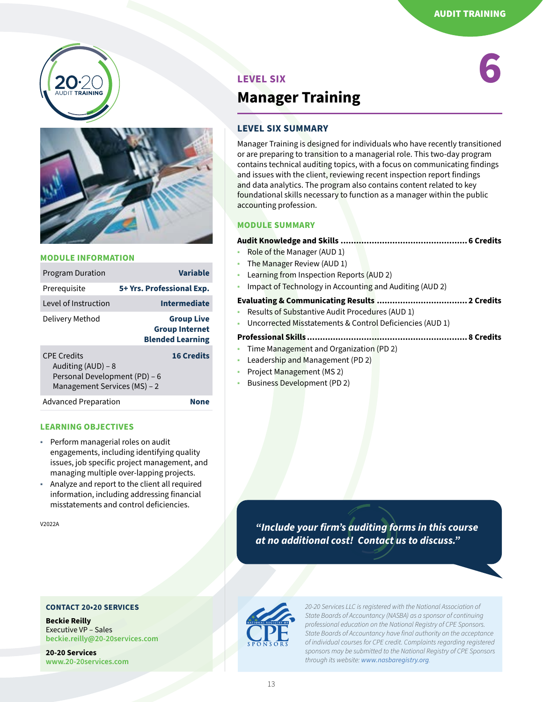



| <b>Program Duration</b>                                                                                   | Variable                                                              |
|-----------------------------------------------------------------------------------------------------------|-----------------------------------------------------------------------|
| Prerequisite                                                                                              | 5+ Yrs. Professional Exp.                                             |
| Level of Instruction                                                                                      | <b>Intermediate</b>                                                   |
| Delivery Method                                                                                           | <b>Group Live</b><br><b>Group Internet</b><br><b>Blended Learning</b> |
| <b>CPF Credits</b><br>Auditing (AUD) – 8<br>Personal Development (PD) - 6<br>Management Services (MS) - 2 | <b>16 Credits</b>                                                     |
| <b>Advanced Preparation</b>                                                                               |                                                                       |

#### **LEARNING OBJECTIVES**

- ◉ Perform managerial roles on audit engagements, including identifying quality issues, job specific project management, and managing multiple over-lapping projects.
- Analyze and report to the client all required information, including addressing financial misstatements and control deficiencies.

#### **CONTACT 20•20 SERVICES**

**Beckie Reilly** Executive VP – Sales **[beckie.reilly@20-20services.com](mailto:beckie.reilly%4020-20services.com?subject=)**

**20-20 Services [www.20-20services.com](http://www.20-20services.com)**

#### AUDIT TRAINING

**6**

## **LEVEL SIX Manager Training**

#### **LEVEL SIX SUMMARY**

Manager Training is designed for individuals who have recently transitioned or are preparing to transition to a managerial role. This two-day program contains technical auditing topics, with a focus on communicating findings and issues with the client, reviewing recent inspection report findings and data analytics. The program also contains content related to key foundational skills necessary to function as a manager within the public accounting profession.

#### **MODULE SUMMARY**

#### **Audit Knowledge and Skills ................................................. 6 Credits**

- Role of the Manager (AUD 1)
- The Manager Review (AUD 1)
- Learning from Inspection Reports (AUD 2)
- Impact of Technology in Accounting and Auditing (AUD 2)

#### **Evaluating & Communicating Results ................................... 2 Credits**

- Results of Substantive Audit Procedures (AUD 1)
- Uncorrected Misstatements & Control Deficiencies (AUD 1)

#### **Professional Skills .............................................................. 8 Credits**

- Time Management and Organization (PD 2)
- Leadership and Management (PD 2)
- ◉ Project Management (MS 2)
- Business Development (PD 2)

V2022A *"Include your firm's auditing forms in this course at no additional cost! Contact us to discuss."*

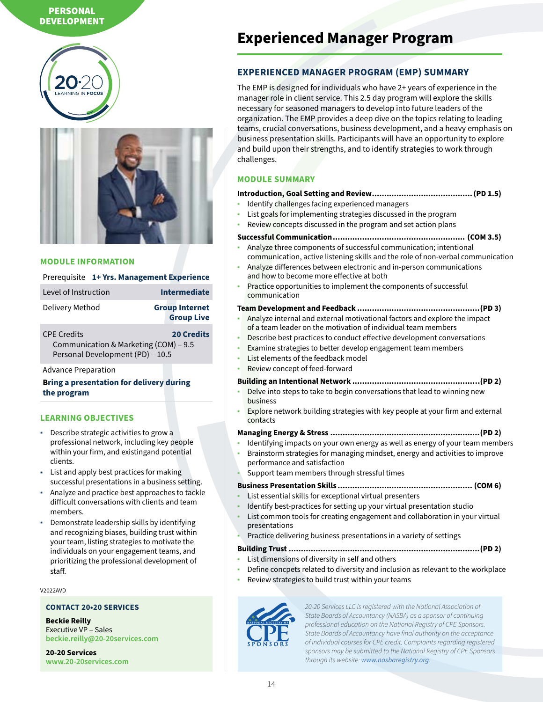#### PERSONAL<br>Prime Auditor **DEVELOPMENT**





#### **MODULE INFORMATION**

#### Prerequisite **1+ Yrs. Management Experience**

| Level of Instruction | <b>Intermediate</b>                        |
|----------------------|--------------------------------------------|
| Delivery Method      | <b>Group Internet</b><br><b>Group Live</b> |

CPE Credits **20 Credits** Communication & Marketing (COM) – 9.5 Personal Development (PD) – 10.5

Advance Preparation

#### **Bring a presentation for delivery during the program**

#### **LEARNING OBJECTIVES**

- ◉ Describe strategic activities to grow a professional network, including key people within your firm, and existingand potential clients.
- ◉ List and apply best practices for making successful presentations in a business setting.
- Analyze and practice best approaches to tackle difficult conversations with clients and team members.
- Demonstrate leadership skills by identifying and recognizing biases, building trust within your team, listing strategies to motivate the individuals on your engagement teams, and prioritizing the professional development of staff.

#### V2022AVD

#### **CONTACT 20•20 SERVICES**

**Beckie Reilly** Executive VP – Sales **[beckie.reilly@20-20services.com](mailto:beckie.reilly%4020-20services.com?subject=)**

**20-20 Services [www.20-20services.com](http://www.20-20services.com)**

## **Experienced Manager Program**

#### **EXPERIENCED MANAGER PROGRAM (EMP) SUMMARY**

The EMP is designed for individuals who have 2+ years of experience in the manager role in client service. This 2.5 day program will explore the skills necessary for seasoned managers to develop into future leaders of the organization. The EMP provides a deep dive on the topics relating to leading teams, crucial conversations, business development, and a heavy emphasis on business presentation skills. Participants will have an opportunity to explore and build upon their strengths, and to identify strategies to work through challenges.

#### **MODULE SUMMARY**

#### **Introduction, Goal Setting and Review.........................................(PD 1.5)**

- Identify challenges facing experienced managers
- List goals for implementing strategies discussed in the program
- Review concepts discussed in the program and set action plans

#### **Successful Communication...................................................... (COM 3.5)**

- Analyze three components of successful communication; intentional communication, active listening skills and the role of non-verbal communication
- Analyze differences between electronic and in-person communications and how to become more effective at both
- Practice opportunities to implement the components of successful communication

#### **Team Development and Feedback ..................................................(PD 3)**

- Analyze internal and external motivational factors and explore the impact of a team leader on the motivation of individual team members
- Describe best practices to conduct effective development conversations
- Examine strategies to better develop engagement team members
- List elements of the feedback model
- Review concept of feed-forward

#### **Building an Intentional Network .................................................…(PD 2)**

- Delve into steps to take to begin conversations that lead to winning new business
- Explore network building strategies with key people at your firm and external contacts

#### **Managing Energy & Stress .............................................................(PD 2)**

- Identifying impacts on your own energy as well as energy of your team members
- Brainstorm strategies for managing mindset, energy and activities to improve performance and satisfaction
- Support team members through stressful times

#### **Business Presentation Skills ....................................................... (COM 6)**

- List essential skills for exceptional virtual presenters
	- Identify best-practices for setting up your virtual presentation studio
- List common tools for creating engagement and collaboration in your virtual presentations
- Practice delivering business presentations in a variety of settings
- **Building Trust ..............................................................................(PD 2)**
- List dimensions of diversity in self and others
- Define concpets related to diversity and inclusion as relevant to the workplace
- Review strategies to build trust within your teams

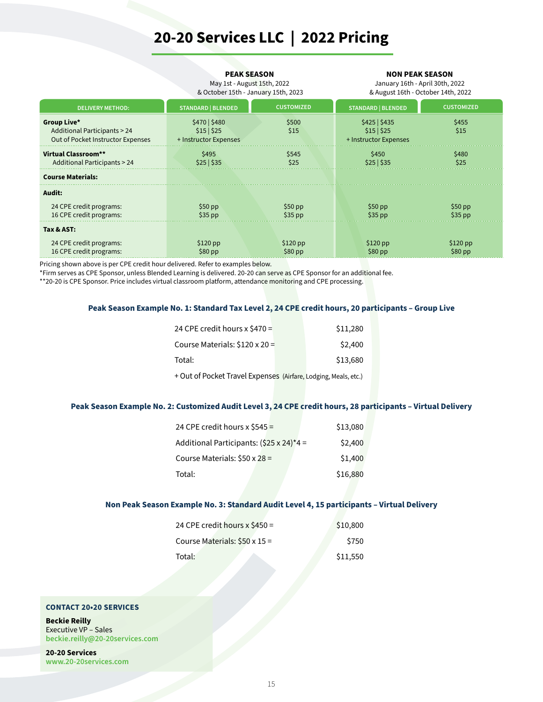## **20-20 Services LLC | 2022 Pricing**

|                                                                                            | <b>PEAK SEASON</b><br>May 1st - August 15th, 2022<br>& October 15th - January 15th, 2023 |                       | <b>NON PEAK SEASON</b><br>January 16th - April 30th, 2022<br>& August 16th - October 14th, 2022 |                       |
|--------------------------------------------------------------------------------------------|------------------------------------------------------------------------------------------|-----------------------|-------------------------------------------------------------------------------------------------|-----------------------|
| <b>DELIVERY METHOD:</b>                                                                    | <b>STANDARD   BLENDED</b>                                                                | <b>CUSTOMIZED</b>     | <b>STANDARD   BLENDED</b>                                                                       | <b>CUSTOMIZED</b>     |
| Group Live*<br><b>Additional Participants &gt; 24</b><br>Out of Pocket Instructor Expenses | \$470   \$480<br>\$15 \$25<br>+ Instructor Expenses                                      | \$500<br>\$15         | \$425 \$435<br>\$15 \$25<br>+ Instructor Expenses                                               | \$455<br>\$15         |
| Virtual Classroom**<br><b>Additional Participants &gt; 24</b>                              | \$495<br>\$545<br>\$25 \$35<br>\$25                                                      |                       | \$450<br>\$25 \$35                                                                              | \$480<br>\$25         |
| <b>Course Materials:</b>                                                                   |                                                                                          |                       |                                                                                                 |                       |
| Audit:                                                                                     |                                                                                          |                       |                                                                                                 |                       |
| 24 CPE credit programs:<br>16 CPE credit programs:                                         | $$50$ pp<br>$$35$ pp                                                                     | $$50$ pp<br>$$35$ pp  | $$50$ pp<br>$$35$ pp                                                                            | $$50$ pp<br>$$35$ pp  |
| Tax & AST:                                                                                 |                                                                                          |                       |                                                                                                 |                       |
| 24 CPE credit programs:<br>16 CPE credit programs:                                         | $$120$ pp<br>$$80$ pp                                                                    | $$120$ pp<br>$$80$ pp | $$120$ pp<br>$$80$ pp                                                                           | $$120$ pp<br>$$80$ pp |

Pricing shown above is per CPE credit hour delivered. Refer to examples below.

\*Firm serves as CPE Sponsor, unless Blended Learning is delivered. 20-20 can serve as CPE Sponsor for an additional fee.

\*\*20-20 is CPE Sponsor. Price includes virtual classroom platform, attendance monitoring and CPE processing.

#### **Peak Season Example No. 1: Standard Tax Level 2, 24 CPE credit hours, 20 participants – Group Live**

| 24 CPE credit hours $x$ \$470 =      | \$11,280 |
|--------------------------------------|----------|
| Course Materials: $$120 \times 20 =$ | \$2,400  |
| Total:                               | \$13,680 |

+ Out of Pocket Travel Expenses (Airfare, Lodging, Meals, etc.)

#### **Peak Season Example No. 2: Customized Audit Level 3, 24 CPE credit hours, 28 participants – Virtual Delivery**

| 24 CPE credit hours x $$545 =$                   | \$13,080 |  |
|--------------------------------------------------|----------|--|
| Additional Participants: $(525 \times 24)^*$ 4 = | \$2,400  |  |
| Course Materials: $$50 \times 28 =$              | \$1,400  |  |
| Total:                                           | \$16,880 |  |

#### **Non Peak Season Example No. 3: Standard Audit Level 4, 15 participants – Virtual Delivery**

| 24 CPE credit hours $x$ \$450 =     | \$10,800 |
|-------------------------------------|----------|
| Course Materials: $$50 \times 15 =$ | \$750    |
| Total:                              | \$11,550 |

#### **CONTACT 20•20 SERVICES**

**Beckie Reilly** Executive VP – Sales **[beckie.reilly@20-20services.com](mailto:beckie.reilly%4020-20services.com?subject=)**

**20-20 Services [www.20-20services.com](http://www.20-20services.com)**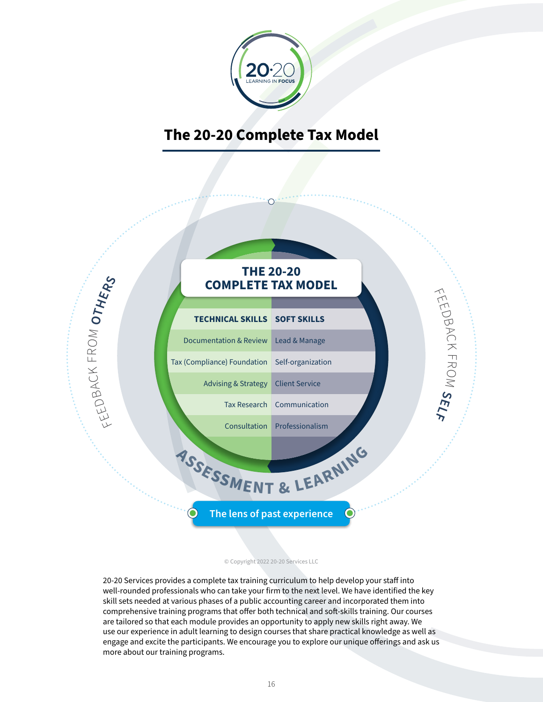

## **The 20-20 Complete Tax Model**



#### © Copyright 2022 20-20 Services LLC

20-20 Services provides a complete tax training curriculum to help develop your staff into well-rounded professionals who can take your firm to the next level. We have identified the key skill sets needed at various phases of a public accounting career and incorporated them into comprehensive training programs that offer both technical and soft-skills training. Our courses are tailored so that each module provides an opportunity to apply new skills right away. We use our experience in adult learning to design courses that share practical knowledge as well as engage and excite the participants. We encourage you to explore our unique offerings and ask us more about our training programs.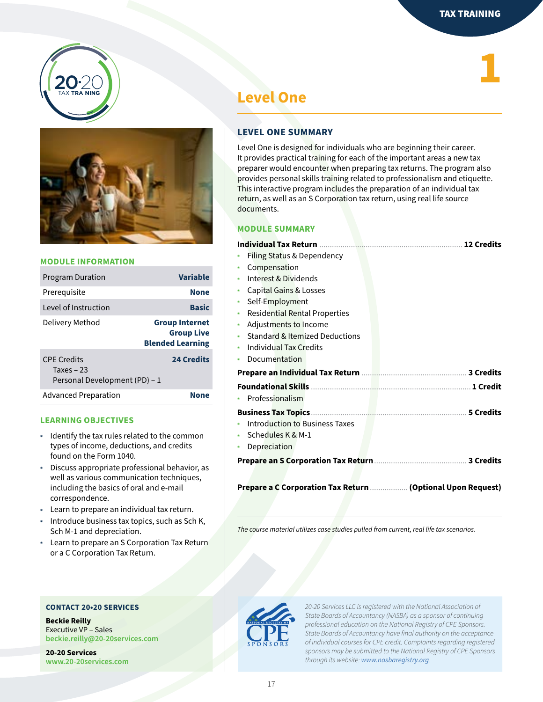**1**





#### **MODULE INFORMATION**

| <b>Program Duration</b>                                            | <b>Variable</b>                                                       |
|--------------------------------------------------------------------|-----------------------------------------------------------------------|
| Prerequisite                                                       | <b>None</b>                                                           |
| Level of Instruction                                               | <b>Basic</b>                                                          |
| Delivery Method                                                    | <b>Group Internet</b><br><b>Group Live</b><br><b>Blended Learning</b> |
| <b>CPE Credits</b><br>Taxes $-23$<br>Personal Development (PD) - 1 | <b>24 Credits</b>                                                     |
| <b>Advanced Preparation</b>                                        | None                                                                  |

#### **LEARNING OBJECTIVES**

- ◉ Identify the tax rules related to the common types of income, deductions, and credits found on the Form 1040.
- Discuss appropriate professional behavior, as well as various communication techniques, including the basics of oral and e-mail correspondence.
- ◉ Learn to prepare an individual tax return.
- ◉ Introduce business tax topics, such as Sch K, Sch M-1 and depreciation.
- Learn to prepare an S Corporation Tax Return or a C Corporation Tax Return.

#### **CONTACT 20•20 SERVICES**

**Beckie Reilly** Executive VP – Sales **[beckie.reilly@20-20services.com](mailto:beckie.reilly%4020-20services.com?subject=)**

**20-20 Services [www.20-20services.com](http://www.20-20services.com)**

## **Level One**

#### **LEVEL ONE SUMMARY**

Level One is designed for individuals who are beginning their career. It provides practical training for each of the important areas a new tax preparer would encounter when preparing tax returns. The program also provides personal skills training related to professionalism and etiquette. This interactive program includes the preparation of an individual tax return, as well as an S Corporation tax return, using real life source documents.

#### **MODULE SUMMARY**

|                                       | <b>12 Credits</b>                                           |
|---------------------------------------|-------------------------------------------------------------|
| Filing Status & Dependency            |                                                             |
| Compensation                          |                                                             |
| Interest & Dividends                  |                                                             |
| Capital Gains & Losses                |                                                             |
| Self-Employment                       |                                                             |
| <b>Residential Rental Properties</b>  |                                                             |
| Adjustments to Income                 |                                                             |
| Standard & Itemized Deductions        |                                                             |
| Individual Tax Credits                |                                                             |
| Documentation                         |                                                             |
|                                       |                                                             |
|                                       |                                                             |
| Professionalism                       |                                                             |
| <b>Business Tax Topics.</b>           | <b>5 Credits</b>                                            |
| <b>Introduction to Business Taxes</b> |                                                             |
| Schedules K & M-1                     |                                                             |
| Depreciation                          |                                                             |
|                                       |                                                             |
|                                       |                                                             |
|                                       | Prepare a C Corporation Tax Return  (Optional Upon Request) |

*The course material utilizes case studies pulled from current, real life tax scenarios.*

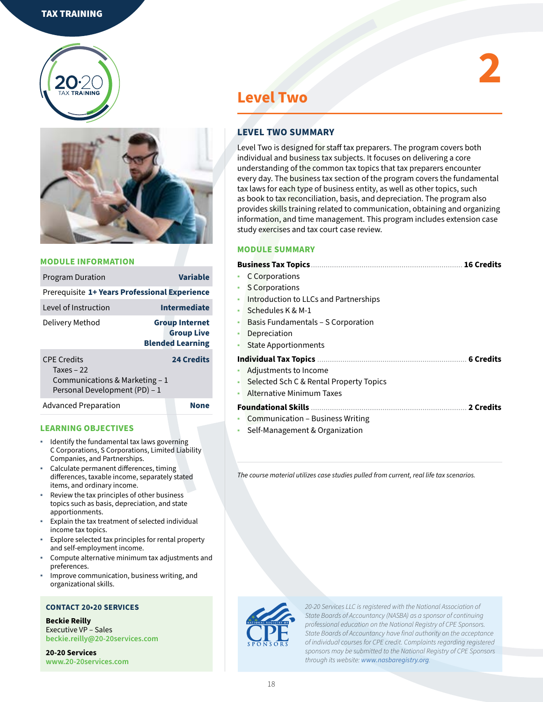



| <b>Program Duration</b>                                              | <b>Variable</b>                                                       |  |
|----------------------------------------------------------------------|-----------------------------------------------------------------------|--|
| Prerequisite 1+ Years Professional Experience                        |                                                                       |  |
| Level of Instruction                                                 | <b>Intermediate</b>                                                   |  |
| Delivery Method                                                      | <b>Group Internet</b><br><b>Group Live</b><br><b>Blended Learning</b> |  |
| <b>CPE Credits</b><br>Taxes $-22$<br>Communications & Marketing $-1$ | <b>24 Credits</b>                                                     |  |

Personal Development (PD) – 1

Advanced Preparation **None** 

#### **LEARNING OBJECTIVES**

- ◉ Identify the fundamental tax laws governing C Corporations, S Corporations, Limited Liability Companies, and Partnerships.
- ◉ Calculate permanent differences, timing differences, taxable income, separately stated items, and ordinary income.
- Review the tax principles of other business topics such as basis, depreciation, and state apportionments.
- Explain the tax treatment of selected individual income tax topics.
- ◉ Explore selected tax principles for rental property and self-employment income.
- Compute alternative minimum tax adjustments and preferences.
- ◉ Improve communication, business writing, and organizational skills.

#### **CONTACT 20•20 SERVICES**

**Beckie Reilly** Executive VP – Sales **[beckie.reilly@20-20services.com](mailto:beckie.reilly%4020-20services.com?subject=)**

**20-20 Services [www.20-20services.com](http://www.20-20services.com)**

## **Level Two**

#### **LEVEL TWO SUMMARY**

Level Two is designed for staff tax preparers. The program covers both individual and business tax subjects. It focuses on delivering a core understanding of the common tax topics that tax preparers encounter every day. The business tax section of the program covers the fundamental tax laws for each type of business entity, as well as other topics, such as book to tax reconciliation, basis, and depreciation. The program also provides skills training related to communication, obtaining and organizing information, and time management. This program includes extension case study exercises and tax court case review.

**2**

#### **MODULE SUMMARY**

|           | <b>16 Credits</b>                       |
|-----------|-----------------------------------------|
|           | <b>C</b> Corporations                   |
|           | <b>S</b> Corporations                   |
| $\bullet$ | Introduction to LLCs and Partnerships   |
|           | Schedules K & M-1                       |
| ۰         | Basis Fundamentals – S Corporation      |
|           | Depreciation                            |
|           | <b>State Apportionments</b>             |
|           |                                         |
|           | Adjustments to Income                   |
| ۰         | Selected Sch C & Rental Property Topics |
| ۰         | <b>Alternative Minimum Taxes</b>        |
|           |                                         |
|           | Communication - Business Writing        |
|           |                                         |

Self-Management & Organization

*The course material utilizes case studies pulled from current, real life tax scenarios.*

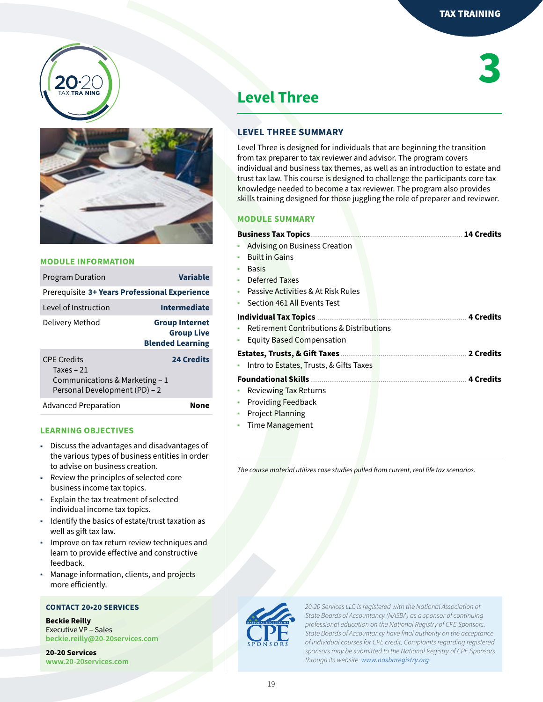



| <b>Program Duration</b>                                                                               | <b>Variable</b>                                                       |
|-------------------------------------------------------------------------------------------------------|-----------------------------------------------------------------------|
| Prerequisite 3+ Years Professional Experience                                                         |                                                                       |
| Level of Instruction                                                                                  | <b>Intermediate</b>                                                   |
| Delivery Method                                                                                       | <b>Group Internet</b><br><b>Group Live</b><br><b>Blended Learning</b> |
| <b>CPF Credits</b><br>Taxes $-21$<br>Communications & Marketing $-1$<br>Personal Development (PD) - 2 | <b>24 Credits</b>                                                     |
| <b>Advanced Preparation</b>                                                                           | None                                                                  |

#### **LEARNING OBJECTIVES**

- ◉ Discuss the advantages and disadvantages of the various types of business entities in order to advise on business creation.
- Review the principles of selected core business income tax topics.
- ◉ Explain the tax treatment of selected individual income tax topics.
- ◉ Identify the basics of estate/trust taxation as well as gift tax law.
- Improve on tax return review techniques and learn to provide effective and constructive feedback.
- ◉ Manage information, clients, and projects more efficiently.

#### **CONTACT 20•20 SERVICES**

**Beckie Reilly** Executive VP – Sales **[beckie.reilly@20-20services.com](mailto:beckie.reilly%4020-20services.com?subject=)**

**20-20 Services [www.20-20services.com](http://www.20-20services.com)**

## **3**

## **Level Three**

#### **LEVEL THREE SUMMARY**

Level Three is designed for individuals that are beginning the transition from tax preparer to tax reviewer and advisor. The program covers individual and business tax themes, as well as an introduction to estate and trust tax law. This course is designed to challenge the participants core tax knowledge needed to become a tax reviewer. The program also provides skills training designed for those juggling the role of preparer and reviewer.

#### **MODULE SUMMARY**

| <b>Business Tax Topics</b>                          | <b>14 Credits</b> |
|-----------------------------------------------------|-------------------|
| Advising on Business Creation                       |                   |
| <b>Built in Gains</b>                               |                   |
| <b>Basis</b>                                        |                   |
| Deferred Taxes                                      |                   |
| Passive Activities & At Risk Rules                  |                   |
| Section 461 All Events Test<br>۵                    |                   |
|                                                     |                   |
| <b>Retirement Contributions &amp; Distributions</b> |                   |
| Equity Based Compensation<br>۰                      |                   |
| <b>Estates, Trusts, &amp; Gift Taxes</b>            | 2 Credits         |
| Intro to Estates, Trusts, & Gifts Taxes             |                   |
|                                                     |                   |
| Reviewing Tax Returns                               |                   |
| <b>Providing Feedback</b><br>۰                      |                   |
| <b>Project Planning</b>                             |                   |
|                                                     |                   |

◉ Time Management

*The course material utilizes case studies pulled from current, real life tax scenarios.*

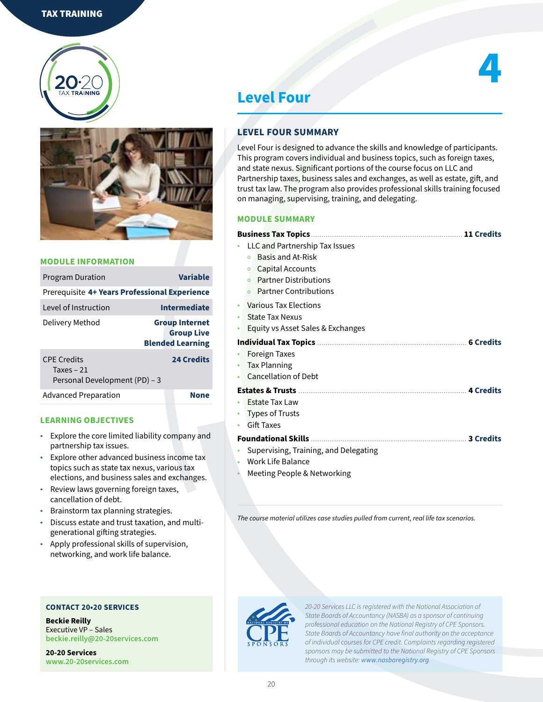



| <b>Program Duration</b>                                            | <b>Variable</b>                                                       |
|--------------------------------------------------------------------|-----------------------------------------------------------------------|
| Prerequisite 4+ Years Professional Experience                      |                                                                       |
| Level of Instruction                                               | <b>Intermediate</b>                                                   |
| Delivery Method                                                    | <b>Group Internet</b><br><b>Group Live</b><br><b>Blended Learning</b> |
| <b>CPF Credits</b><br>Taxes $-21$<br>Personal Development (PD) - 3 | <b>24 Credits</b>                                                     |
| <b>Advanced Preparation</b>                                        | <b>None</b>                                                           |

#### **LEARNING OBJECTIVES**

- ◉ Explore the core limited liability company and partnership tax issues.
- ◉ Explore other advanced business income tax topics such as state tax nexus, various tax elections, and business sales and exchanges.
- ◉ Review laws governing foreign taxes, cancellation of debt.
- ◉ Brainstorm tax planning strategies.
- Discuss estate and trust taxation, and multigenerational gifting strategies.
- ◉ Apply professional skills of supervision, networking, and work life balance.

#### **CONTACT 20•20 SERVICES**

**Beckie Reilly** Executive VP – Sales **[beckie.reilly@20-20services.com](mailto:beckie.reilly%4020-20services.com?subject=)**

**20-20 Services [www.20-20services.com](http://www.20-20services.com)**

## **Level Four**

#### **LEVEL FOUR SUMMARY**

Level Four is designed to advance the skills and knowledge of participants. This program covers individual and business topics, such as foreign taxes, and state nexus. Significant portions of the course focus on LLC and Partnership taxes, business sales and exchanges, as well as estate, gift, and trust tax law. The program also provides professional skills training focused on managing, supervising, training, and delegating.

**4**

#### **MODULE SUMMARY**

|           | LLC and Partnership Tax Issues                 |  |  |  |  |
|-----------|------------------------------------------------|--|--|--|--|
|           | Basis and At-Risk<br>$\circ$                   |  |  |  |  |
|           | Capital Accounts<br>o                          |  |  |  |  |
|           | <b>Partner Distributions</b><br>$\overline{O}$ |  |  |  |  |
|           | <b>Partner Contributions</b><br>$\Omega$       |  |  |  |  |
| $\bullet$ | Various Tax Elections                          |  |  |  |  |
| ۰         | <b>State Tax Nexus</b>                         |  |  |  |  |
|           | Equity vs Asset Sales & Exchanges              |  |  |  |  |
|           |                                                |  |  |  |  |
|           | <b>Foreign Taxes</b>                           |  |  |  |  |
| ۰         | <b>Tax Planning</b>                            |  |  |  |  |
|           | <b>Cancellation of Debt</b>                    |  |  |  |  |
|           |                                                |  |  |  |  |
|           | <b>Estate Tax Law</b>                          |  |  |  |  |
|           | <b>Types of Trusts</b>                         |  |  |  |  |
|           | <b>Gift Taxes</b>                              |  |  |  |  |
|           |                                                |  |  |  |  |
|           | Supervising, Training, and Delegating          |  |  |  |  |
| ۰         | Work Life Balance                              |  |  |  |  |
|           |                                                |  |  |  |  |

Meeting People & Networking

*The course material utilizes case studies pulled from current, real life tax scenarios.*

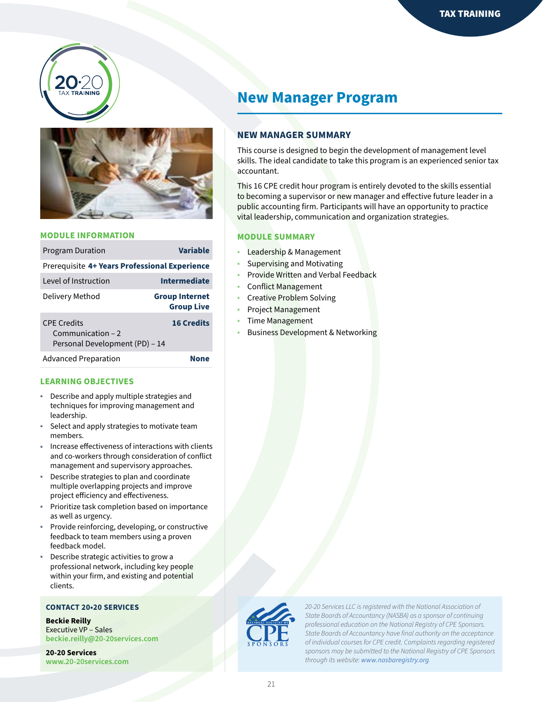



| <b>Program Duration</b>                                             | <b>Variable</b>                            |  |
|---------------------------------------------------------------------|--------------------------------------------|--|
| Prerequisite 4+ Years Professional Experience                       |                                            |  |
| Level of Instruction                                                | <b>Intermediate</b>                        |  |
| Delivery Method                                                     | <b>Group Internet</b><br><b>Group Live</b> |  |
| CPF Credits<br>Communication $-2$<br>Personal Development (PD) - 14 | <b>16 Credits</b>                          |  |
| <b>Advanced Preparation</b>                                         |                                            |  |

#### **LEARNING OBJECTIVES**

- ◉ Describe and apply multiple strategies and techniques for improving management and leadership.
- Select and apply strategies to motivate team members.
- Increase effectiveness of interactions with clients and co-workers through consideration of conflict management and supervisory approaches.
- Describe strategies to plan and coordinate multiple overlapping projects and improve project efficiency and effectiveness.
- Prioritize task completion based on importance as well as urgency.
- Provide reinforcing, developing, or constructive feedback to team members using a proven feedback model.
- Describe strategic activities to grow a professional network, including key people within your firm, and existing and potential clients.

#### **CONTACT 20•20 SERVICES**

**Beckie Reilly** Executive VP – Sales **[beckie.reilly@20-20services.com](mailto:beckie.reilly%4020-20services.com?subject=)**

**20-20 Services [www.20-20services.com](http://www.20-20services.com)**

## **New Manager Program**

#### **NEW MANAGER SUMMARY**

This course is designed to begin the development of management level skills. The ideal candidate to take this program is an experienced senior tax accountant.

This 16 CPE credit hour program is entirely devoted to the skills essential to becoming a supervisor or new manager and effective future leader in a public accounting firm. Participants will have an opportunity to practice vital leadership, communication and organization strategies.

#### **MODULE SUMMARY**

- Leadership & Management
- Supervising and Motivating
- Provide Written and Verbal Feedback
- Conflict Management
- ◉ Creative Problem Solving
- Project Management
- Time Management
- **Business Development & Networking**

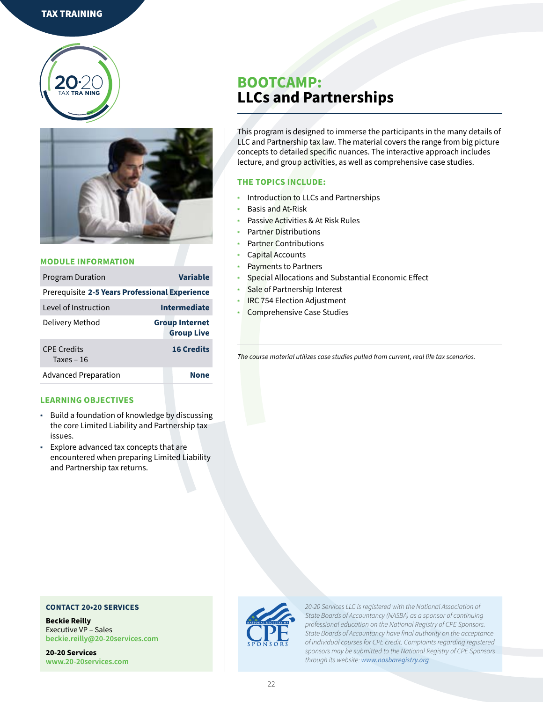#### TAX TRAINING





#### **MODULE INFORMATION**

| <b>Program Duration</b>                        | Variable                                   |  |  |
|------------------------------------------------|--------------------------------------------|--|--|
| Prerequisite 2-5 Years Professional Experience |                                            |  |  |
| Level of Instruction                           | <b>Intermediate</b>                        |  |  |
| Delivery Method                                | <b>Group Internet</b><br><b>Group Live</b> |  |  |
| <b>CPE Credits</b><br>Taxes $-16$              | <b>16 Credits</b>                          |  |  |
| <b>Advanced Preparation</b>                    | <b>None</b>                                |  |  |

#### **LEARNING OBJECTIVES**

- ◉ Build a foundation of knowledge by discussing the core Limited Liability and Partnership tax issues.
- ◉ Explore advanced tax concepts that are encountered when preparing Limited Liability and Partnership tax returns.

## **BOOTCAMP: LLCs and Partnerships**

This program is designed to immerse the participants in the many details of LLC and Partnership tax law. The material covers the range from big picture concepts to detailed specific nuances. The interactive approach includes lecture, and group activities, as well as comprehensive case studies.

#### **THE TOPICS INCLUDE:**

- Introduction to LLCs and Partnerships
- ◉ Basis and At-Risk
- Passive Activities & At Risk Rules
- Partner Distributions
- Partner Contributions
- Capital Accounts
- Payments to Partners
- Special Allocations and Substantial Economic Effect
- Sale of Partnership Interest
- IRC 754 Election Adjustment
- ◉ Comprehensive Case Studies

*The course material utilizes case studies pulled from current, real life tax scenarios.*



*20-20 Services LLC is registered with the National Association of State Boards of Accountancy (NASBA) as a sponsor of continuing professional education on the National Registry of CPE Sponsors. State Boards of Accountancy have final authority on the acceptance of individual courses for CPE credit. Complaints regarding registered sponsors may be submitted to the National Registry of CPE Sponsors through its website: [www.nasbaregistry.org](http://www.nasbaregistry.org).*

#### **CONTACT 20•20 SERVICES**

**Beckie Reilly** Executive VP – Sales **[beckie.reilly@20-20services.com](mailto:beckie.reilly%4020-20services.com?subject=)**

**20-20 Services [www.20-20services.com](http://www.20-20services.com)**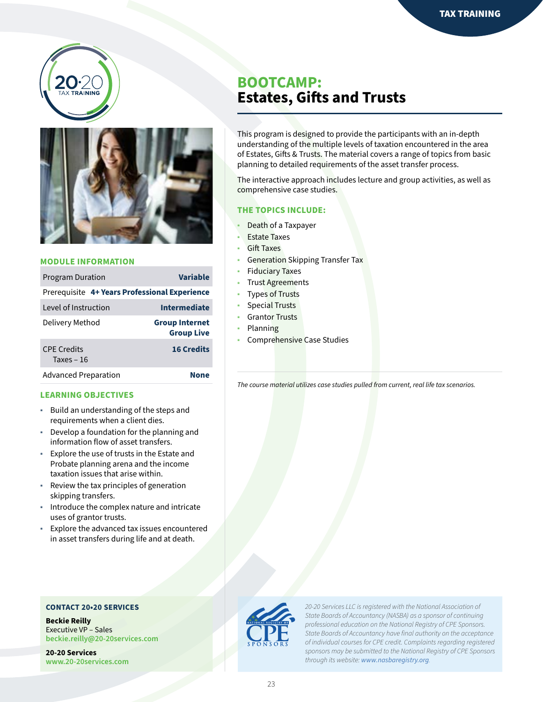



| <b>Program Duration</b>                       | <b>Variable</b>                            |
|-----------------------------------------------|--------------------------------------------|
| Prerequisite 4+ Years Professional Experience |                                            |
| Level of Instruction                          | <b>Intermediate</b>                        |
| Delivery Method                               | <b>Group Internet</b><br><b>Group Live</b> |
| <b>CPE Credits</b><br>Taxes $-16$             | <b>16 Credits</b>                          |
| <b>Advanced Preparation</b>                   | None                                       |

#### **LEARNING OBJECTIVES**

- ◉ Build an understanding of the steps and requirements when a client dies.
- ◉ Develop a foundation for the planning and information flow of asset transfers.
- ◉ Explore the use of trusts in the Estate and Probate planning arena and the income taxation issues that arise within.
- Review the tax principles of generation skipping transfers.
- ◉ Introduce the complex nature and intricate uses of grantor trusts.
- ◉ Explore the advanced tax issues encountered in asset transfers during life and at death.

#### **CONTACT 20•20 SERVICES**

**Beckie Reilly** Executive VP – Sales **[beckie.reilly@20-20services.com](mailto:beckie.reilly%4020-20services.com?subject=)**

**20-20 Services [www.20-20services.com](http://www.20-20services.com)**

## **BOOTCAMP: Estates, Gifts and Trusts**

This program is designed to provide the participants with an in-depth understanding of the multiple levels of taxation encountered in the area of Estates, Gifts & Trusts. The material covers a range of topics from basic planning to detailed requirements of the asset transfer process.

The interactive approach includes lecture and group activities, as well as comprehensive case studies.

#### **THE TOPICS INCLUDE:**

- Death of a Taxpayer
- **Estate Taxes**
- Gift Taxes
- Generation Skipping Transfer Tax
- **Fiduciary Taxes**
- **Trust Agreements**
- **Types of Trusts**
- Special Trusts
- ◉ Grantor Trusts
- ◉ Planning
- Comprehensive Case Studies

*The course material utilizes case studies pulled from current, real life tax scenarios.*



*20-20 Services LLC is registered with the National Association of State Boards of Accountancy (NASBA) as a sponsor of continuing professional education on the National Registry of CPE Sponsors. State Boards of Accountancy have final authority on the acceptance of individual courses for CPE credit. Complaints regarding registered sponsors may be submitted to the National Registry of CPE Sponsors through its website: [www.nasbaregistry.org](http://www.nasbaregistry.org).*

23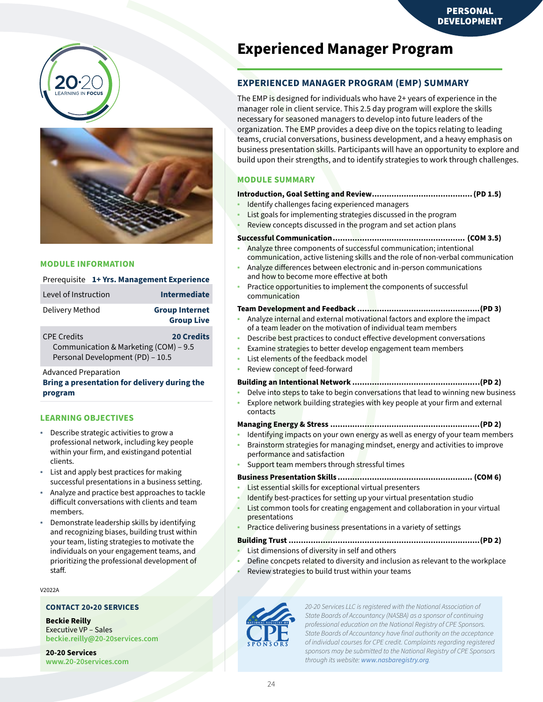



|                      | Prerequisite 1+ Yrs. Management Experience |
|----------------------|--------------------------------------------|
| Level of Instruction | Intermediate                               |
| Delivery Method      | <b>Group Internet</b><br><b>Group Live</b> |

CPE Credits **20 Credits** Communication & Marketing (COM) – 9.5 Personal Development (PD) – 10.5

Advanced Preparation

#### **Bring a presentation for delivery during the program**

#### **LEARNING OBJECTIVES**

- Describe strategic activities to grow a professional network, including key people within your firm, and existingand potential clients.
- ◉ List and apply best practices for making successful presentations in a business setting.
- Analyze and practice best approaches to tackle difficult conversations with clients and team members.
- Demonstrate leadership skills by identifying and recognizing biases, building trust within your team, listing strategies to motivate the individuals on your engagement teams, and prioritizing the professional development of staff.

#### V2022A

#### **CONTACT 20•20 SERVICES**

**Beckie Reilly** Executive VP – Sales **[beckie.reilly@20-20services.com](mailto:beckie.reilly%4020-20services.com?subject=)**

**20-20 Services [www.20-20services.com](http://www.20-20services.com)**

## **Experienced Manager Program**

#### **EXPERIENCED MANAGER PROGRAM (EMP) SUMMARY**

The EMP is designed for individuals who have 2+ years of experience in the manager role in client service. This 2.5 day program will explore the skills necessary for seasoned managers to develop into future leaders of the organization. The EMP provides a deep dive on the topics relating to leading teams, crucial conversations, business development, and a heavy emphasis on business presentation skills. Participants will have an opportunity to explore and build upon their strengths, and to identify strategies to work through challenges.

#### **MODULE SUMMARY**

#### **Introduction, Goal Setting and Review.........................................(PD 1.5)**

- Identify challenges facing experienced managers
- List goals for implementing strategies discussed in the program
- Review concepts discussed in the program and set action plans

#### **Successful Communication...................................................... (COM 3.5)**

- Analyze three components of successful communication; intentional communication, active listening skills and the role of non-verbal communication
- Analyze differences between electronic and in-person communications and how to become more effective at both
- Practice opportunities to implement the components of successful communication

#### **Team Development and Feedback ..................................................(PD 3)**

- Analyze internal and external motivational factors and explore the impact of a team leader on the motivation of individual team members
- Describe best practices to conduct effective development conversations
- Examine strategies to better develop engagement team members
- List elements of the feedback model
- Review concept of feed-forward

#### **Building an Intentional Network .................................................…(PD 2)**

- Delve into steps to take to begin conversations that lead to winning new business
- Explore network building strategies with key people at your firm and external contacts

#### **Managing Energy & Stress .............................................................(PD 2)**

- Identifying impacts on your own energy as well as energy of your team members
- Brainstorm strategies for managing mindset, energy and activities to improve performance and satisfaction
- Support team members through stressful times

#### **Business Presentation Skills ....................................................... (COM 6)**

- List essential skills for exceptional virtual presenters
- Identify best-practices for setting up your virtual presentation studio
- List common tools for creating engagement and collaboration in your virtual presentations
	- Practice delivering business presentations in a variety of settings

#### **Building Trust ..............................................................................(PD 2)**

- List dimensions of diversity in self and others
- Define concpets related to diversity and inclusion as relevant to the workplace
- Review strategies to build trust within your teams